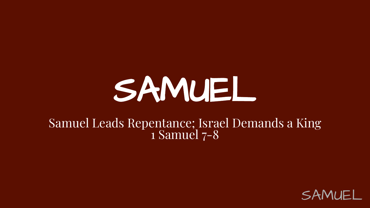# SAMUEL

#### Samuel Leads Repentance; Israel Demands a King 1 Samuel 7-8

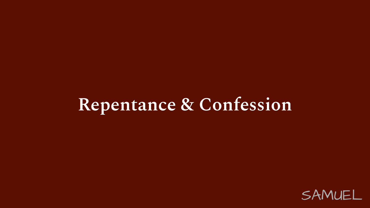#### **Repentance & Confession**

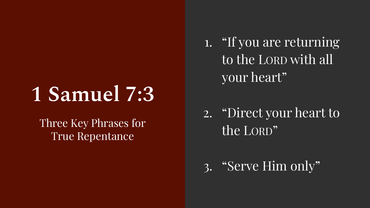### **1 Samuel 7:3**

Three Key Phrases for True Repentance

- 1. "If you are returning to the LORD with all your heart"
- 2. "Direct your heart to the LORD"
- 3. "Serve Him only"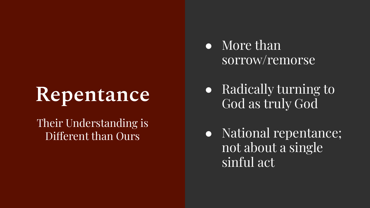### **Repentance**

#### Their Understanding is Different than Ours

- More than sorrow/remorse
- Radically turning to God as truly God
- National repentance; not about a single sinful act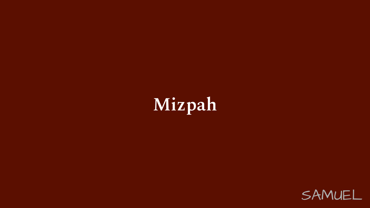

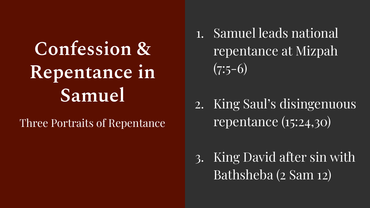### **Confession & Repentance in Samuel**

Three Portraits of Repentance

- 1. Samuel leads national repentance at Mizpah  $(7:5-6)$
- 2. King Saul's disingenuous repentance (15:24,30)
- 3. King David after sin with Bathsheba (2 Sam 12)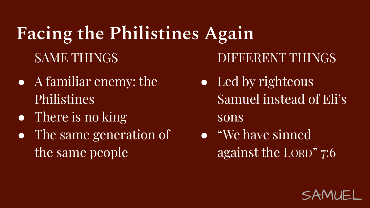#### **Facing the Philistines Again** SAME THINGS

- A familiar enemy: the Philistines
- There is no king
- The same generation of the same people

DIFFERENT THINGS

• Led by righteous Samuel instead of Eli's

sons

● "We have sinned against the LORD" 7:6

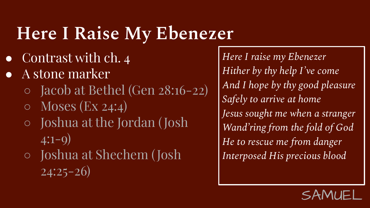### **Here I Raise My Ebenezer**

- Contrast with ch. 4
- A stone marker
	- Jacob at Bethel (Gen 28:16-22)
	- $\circ$  Moses (Ex 24:4)
	- Joshua at the Jordan (Josh  $4:1-9)$
	- Joshua at Shechem ( Josh  $24:25-26$

*Here I raise my Ebenezer Hither by thy help I've come And I hope by thy good pleasure Safely to arrive at home Jesus sought me when a stranger Wand'ring from the fold of God He to rescue me from danger Interposed His precious blood*

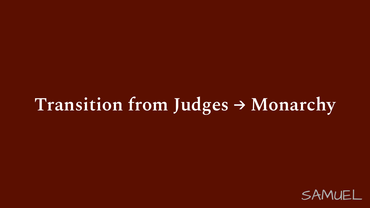#### **Transition from Judges → Monarchy**

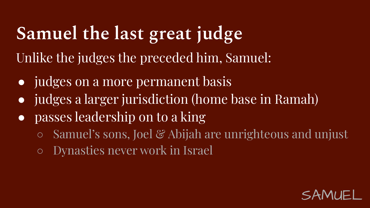#### **Samuel the last great judge** Unlike the judges the preceded him, Samuel:

- judges on a more permanent basis
- judges a larger jurisdiction (home base in Ramah)
- passes leadership on to a king
	- Samuel's sons, Joel & Abijah are unrighteous and unjust
	- Dynasties never work in Israel

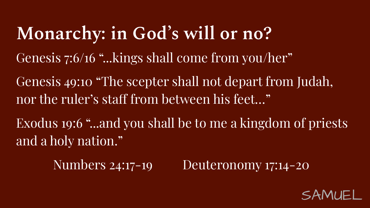**Monarchy: in God's will or no?** Genesis 7:6/16 "...kings shall come from you/her" Genesis 49:10 "The scepter shall not depart from Judah, nor the ruler's staff from between his feet…" Exodus 19:6 "...and you shall be to me a kingdom of priests and a holy nation."

Numbers 24:17-19 Deuteronomy 17:14-20

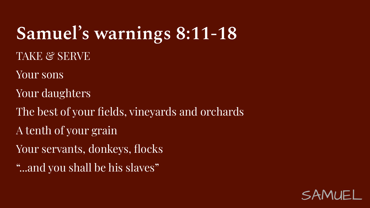# **Samuel's warnings 8:11-18**

TAKE & SERVE

Your sons

Your daughters

The best of your fields, vineyards and orchards

A tenth of your grain

Your servants, donkeys, flocks

"...and you shall be his slaves"

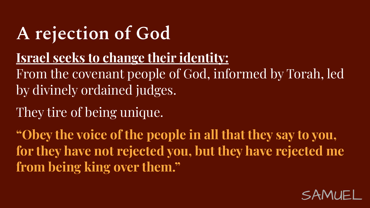#### **A rejection of God**

#### **Israel seeks to change their identity:**

From the covenant people of God, informed by Torah, led by divinely ordained judges.

They tire of being unique.

**"Obey the voice of the people in all that they say to you, for they have not rejected you, but they have rejected me from being king over them."**